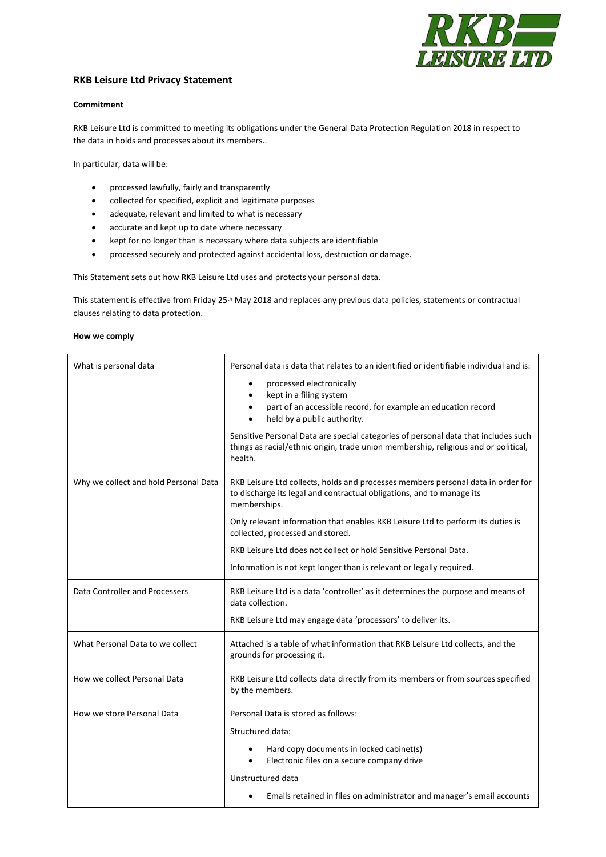

## **RKB Leisure Ltd Privacy Statement**

## **Commitment**

RKB Leisure Ltd is committed to meeting its obligations under the General Data Protection Regulation 2018 in respect to the data in holds and processes about its members..

In particular, data will be:

- processed lawfully, fairly and transparently
- collected for specified, explicit and legitimate purposes
- adequate, relevant and limited to what is necessary
- accurate and kept up to date where necessary
- kept for no longer than is necessary where data subjects are identifiable
- processed securely and protected against accidental loss, destruction or damage.

This Statement sets out how RKB Leisure Ltd uses and protects your personal data.

This statement is effective from Friday 25<sup>th</sup> May 2018 and replaces any previous data policies, statements or contractual clauses relating to data protection.

## **How we comply**

| What is personal data                 | Personal data is data that relates to an identified or identifiable individual and is:                                                                                               |
|---------------------------------------|--------------------------------------------------------------------------------------------------------------------------------------------------------------------------------------|
|                                       | processed electronically<br>٠<br>kept in a filing system<br>$\bullet$<br>part of an accessible record, for example an education record<br>$\bullet$<br>held by a public authority.   |
|                                       | Sensitive Personal Data are special categories of personal data that includes such<br>things as racial/ethnic origin, trade union membership, religious and or political,<br>health. |
| Why we collect and hold Personal Data | RKB Leisure Ltd collects, holds and processes members personal data in order for<br>to discharge its legal and contractual obligations, and to manage its<br>memberships.            |
|                                       | Only relevant information that enables RKB Leisure Ltd to perform its duties is<br>collected, processed and stored.                                                                  |
|                                       | RKB Leisure Ltd does not collect or hold Sensitive Personal Data.                                                                                                                    |
|                                       | Information is not kept longer than is relevant or legally required.                                                                                                                 |
| Data Controller and Processers        | RKB Leisure Ltd is a data 'controller' as it determines the purpose and means of<br>data collection.                                                                                 |
|                                       | RKB Leisure Ltd may engage data 'processors' to deliver its.                                                                                                                         |
| What Personal Data to we collect      | Attached is a table of what information that RKB Leisure Ltd collects, and the<br>grounds for processing it.                                                                         |
| How we collect Personal Data          | RKB Leisure Ltd collects data directly from its members or from sources specified<br>by the members.                                                                                 |
| How we store Personal Data            | Personal Data is stored as follows:                                                                                                                                                  |
|                                       | Structured data:                                                                                                                                                                     |
|                                       | Hard copy documents in locked cabinet(s)<br>٠<br>Electronic files on a secure company drive<br>$\bullet$                                                                             |
|                                       | Unstructured data                                                                                                                                                                    |
|                                       | Emails retained in files on administrator and manager's email accounts<br>$\bullet$                                                                                                  |